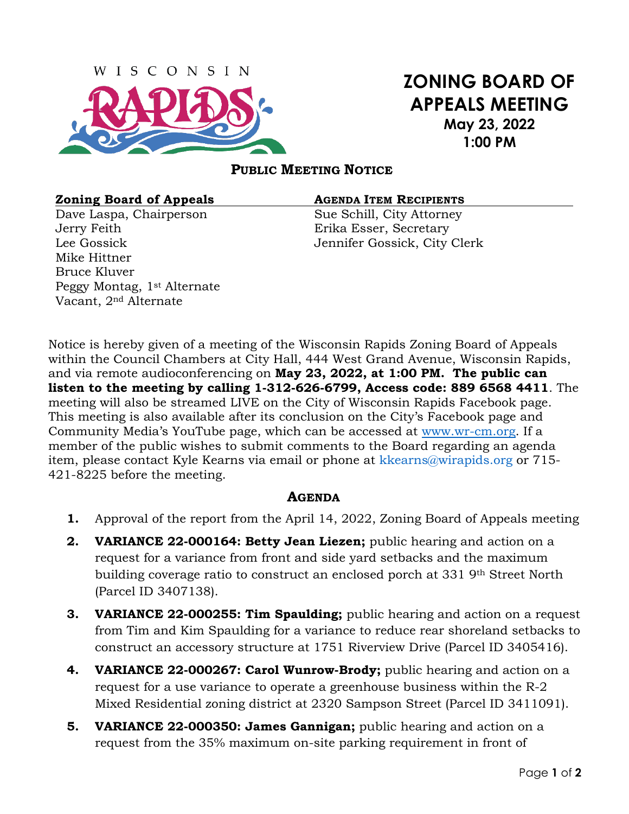

# **ZONING BOARD OF APPEALS MEETING May 23, 2022 1:00 PM**

# **PUBLIC MEETING NOTICE**

### **Zoning Board of Appeals AGENDA ITEM RECIPIENTS**

Dave Laspa, Chairperson Sue Schill, City Attorney Jerry Feith Erika Esser, Secretary Mike Hittner Bruce Kluver Peggy Montag, 1st Alternate Vacant, 2nd Alternate

Lee Gossick Jennifer Gossick, City Clerk

Notice is hereby given of a meeting of the Wisconsin Rapids Zoning Board of Appeals within the Council Chambers at City Hall, 444 West Grand Avenue, Wisconsin Rapids, and via remote audioconferencing on **May 23, 2022, at 1:00 PM. The public can listen to the meeting by calling 1-312-626-6799, Access code: 889 6568 4411**. The meeting will also be streamed LIVE on the City of Wisconsin Rapids Facebook page. This meeting is also available after its conclusion on the City's Facebook page and Community Media's YouTube page, which can be accessed at [www.wr-cm.org.](http://www.wr-cm.org/) If a member of the public wishes to submit comments to the Board regarding an agenda item, please contact Kyle Kearns via email or phone at kkearns@wirapids.org or 715- 421-8225 before the meeting.

# **AGENDA**

- **1.** Approval of the report from the April 14, 2022, Zoning Board of Appeals meeting
- **2. VARIANCE 22-000164: Betty Jean Liezen;** public hearing and action on a request for a variance from front and side yard setbacks and the maximum building coverage ratio to construct an enclosed porch at 331 9th Street North (Parcel ID 3407138).
- **3. VARIANCE 22-000255: Tim Spaulding;** public hearing and action on a request from Tim and Kim Spaulding for a variance to reduce rear shoreland setbacks to construct an accessory structure at 1751 Riverview Drive (Parcel ID 3405416).
- **4. VARIANCE 22-000267: Carol Wunrow-Brody;** public hearing and action on a request for a use variance to operate a greenhouse business within the R-2 Mixed Residential zoning district at 2320 Sampson Street (Parcel ID 3411091).
- **5. VARIANCE 22-000350: James Gannigan;** public hearing and action on a request from the 35% maximum on-site parking requirement in front of